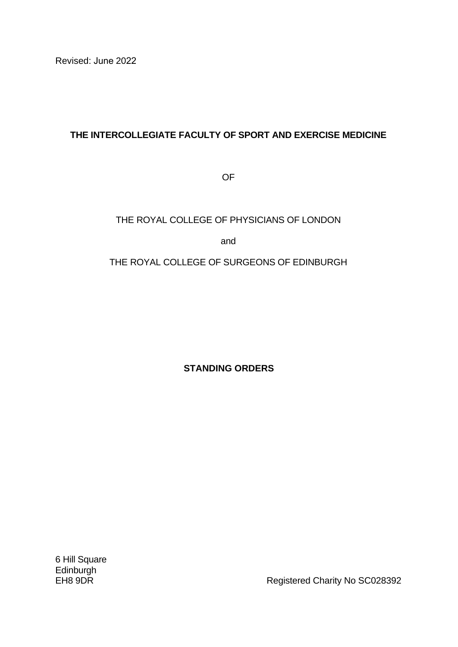# **THE INTERCOLLEGIATE FACULTY OF SPORT AND EXERCISE MEDICINE**

OF

# THE ROYAL COLLEGE OF PHYSICIANS OF LONDON

and

THE ROYAL COLLEGE OF SURGEONS OF EDINBURGH

**STANDING ORDERS**

6 Hill Square **Edinburgh** 

EH8 9DR **EH8 9DR** Registered Charity No SC028392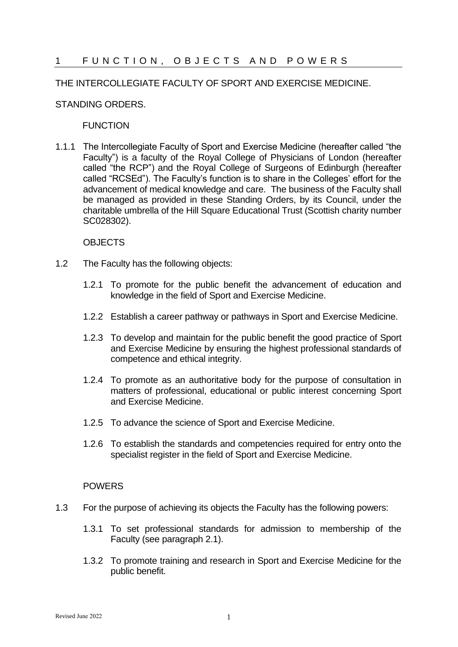## 1 FUNCTION, OBJECTS AND POWERS

### THE INTERCOLLEGIATE FACULTY OF SPORT AND EXERCISE MEDICINE.

### STANDING ORDERS.

### **FUNCTION**

1.1.1 The Intercollegiate Faculty of Sport and Exercise Medicine (hereafter called "the Faculty") is a faculty of the Royal College of Physicians of London (hereafter called "the RCP") and the Royal College of Surgeons of Edinburgh (hereafter called "RCSEd"). The Faculty's function is to share in the Colleges' effort for the advancement of medical knowledge and care. The business of the Faculty shall be managed as provided in these Standing Orders, by its Council, under the charitable umbrella of the Hill Square Educational Trust (Scottish charity number SC028302).

### OBJECTS

- 1.2 The Faculty has the following objects:
	- 1.2.1 To promote for the public benefit the advancement of education and knowledge in the field of Sport and Exercise Medicine.
	- 1.2.2 Establish a career pathway or pathways in Sport and Exercise Medicine.
	- 1.2.3 To develop and maintain for the public benefit the good practice of Sport and Exercise Medicine by ensuring the highest professional standards of competence and ethical integrity.
	- 1.2.4 To promote as an authoritative body for the purpose of consultation in matters of professional, educational or public interest concerning Sport and Exercise Medicine.
	- 1.2.5 To advance the science of Sport and Exercise Medicine.
	- 1.2.6 To establish the standards and competencies required for entry onto the specialist register in the field of Sport and Exercise Medicine.

#### POWERS

- 1.3 For the purpose of achieving its objects the Faculty has the following powers:
	- 1.3.1 To set professional standards for admission to membership of the Faculty (see paragraph 2.1).
	- 1.3.2 To promote training and research in Sport and Exercise Medicine for the public benefit.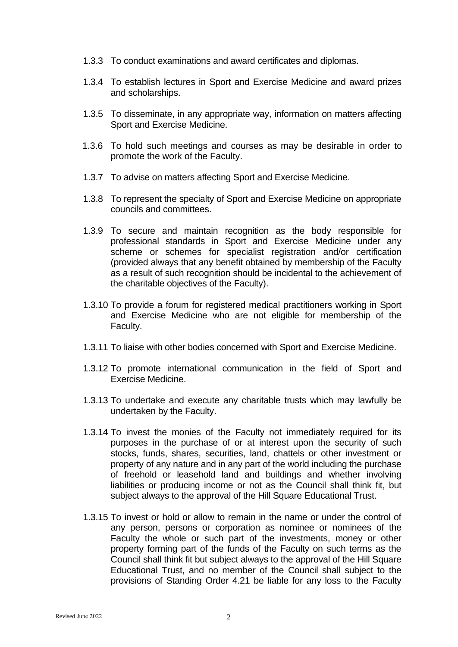- 1.3.3 To conduct examinations and award certificates and diplomas.
- 1.3.4 To establish lectures in Sport and Exercise Medicine and award prizes and scholarships.
- 1.3.5 To disseminate, in any appropriate way, information on matters affecting Sport and Exercise Medicine.
- 1.3.6 To hold such meetings and courses as may be desirable in order to promote the work of the Faculty.
- 1.3.7 To advise on matters affecting Sport and Exercise Medicine.
- 1.3.8 To represent the specialty of Sport and Exercise Medicine on appropriate councils and committees.
- 1.3.9 To secure and maintain recognition as the body responsible for professional standards in Sport and Exercise Medicine under any scheme or schemes for specialist registration and/or certification (provided always that any benefit obtained by membership of the Faculty as a result of such recognition should be incidental to the achievement of the charitable objectives of the Faculty).
- 1.3.10 To provide a forum for registered medical practitioners working in Sport and Exercise Medicine who are not eligible for membership of the Faculty.
- 1.3.11 To liaise with other bodies concerned with Sport and Exercise Medicine.
- 1.3.12 To promote international communication in the field of Sport and Exercise Medicine.
- 1.3.13 To undertake and execute any charitable trusts which may lawfully be undertaken by the Faculty.
- 1.3.14 To invest the monies of the Faculty not immediately required for its purposes in the purchase of or at interest upon the security of such stocks, funds, shares, securities, land, chattels or other investment or property of any nature and in any part of the world including the purchase of freehold or leasehold land and buildings and whether involving liabilities or producing income or not as the Council shall think fit, but subject always to the approval of the Hill Square Educational Trust.
- 1.3.15 To invest or hold or allow to remain in the name or under the control of any person, persons or corporation as nominee or nominees of the Faculty the whole or such part of the investments, money or other property forming part of the funds of the Faculty on such terms as the Council shall think fit but subject always to the approval of the Hill Square Educational Trust, and no member of the Council shall subject to the provisions of Standing Order 4.21 be liable for any loss to the Faculty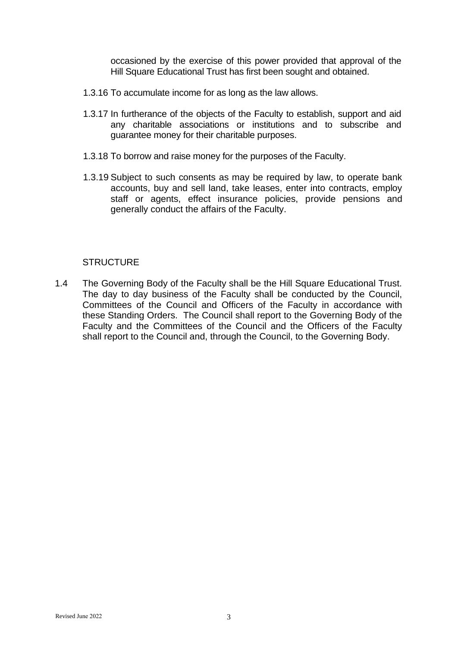occasioned by the exercise of this power provided that approval of the Hill Square Educational Trust has first been sought and obtained.

- 1.3.16 To accumulate income for as long as the law allows.
- 1.3.17 In furtherance of the objects of the Faculty to establish, support and aid any charitable associations or institutions and to subscribe and guarantee money for their charitable purposes.
- 1.3.18 To borrow and raise money for the purposes of the Faculty.
- 1.3.19 Subject to such consents as may be required by law, to operate bank accounts, buy and sell land, take leases, enter into contracts, employ staff or agents, effect insurance policies, provide pensions and generally conduct the affairs of the Faculty.

### **STRUCTURE**

1.4 The Governing Body of the Faculty shall be the Hill Square Educational Trust. The day to day business of the Faculty shall be conducted by the Council, Committees of the Council and Officers of the Faculty in accordance with these Standing Orders. The Council shall report to the Governing Body of the Faculty and the Committees of the Council and the Officers of the Faculty shall report to the Council and, through the Council, to the Governing Body.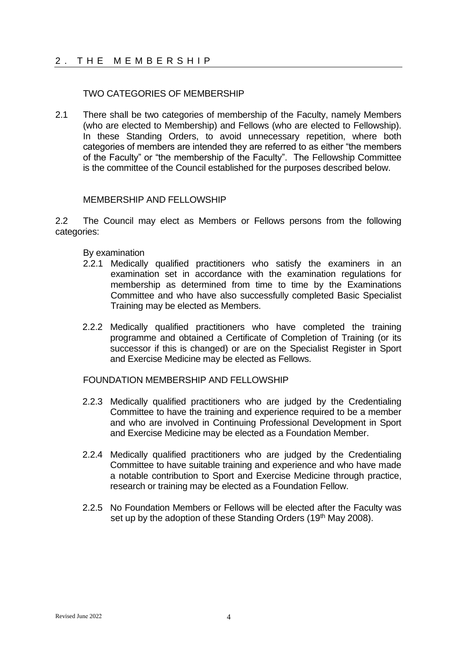## 2. THE MEMBERSHIP

## TWO CATEGORIES OF MEMBERSHIP

2.1 There shall be two categories of membership of the Faculty, namely Members (who are elected to Membership) and Fellows (who are elected to Fellowship). In these Standing Orders, to avoid unnecessary repetition, where both categories of members are intended they are referred to as either "the members of the Faculty" or "the membership of the Faculty". The Fellowship Committee is the committee of the Council established for the purposes described below.

### MEMBERSHIP AND FELLOWSHIP

2.2 The Council may elect as Members or Fellows persons from the following categories:

By examination

- 2.2.1 Medically qualified practitioners who satisfy the examiners in an examination set in accordance with the examination regulations for membership as determined from time to time by the Examinations Committee and who have also successfully completed Basic Specialist Training may be elected as Members.
- 2.2.2 Medically qualified practitioners who have completed the training programme and obtained a Certificate of Completion of Training (or its successor if this is changed) or are on the Specialist Register in Sport and Exercise Medicine may be elected as Fellows.

FOUNDATION MEMBERSHIP AND FELLOWSHIP

- 2.2.3 Medically qualified practitioners who are judged by the Credentialing Committee to have the training and experience required to be a member and who are involved in Continuing Professional Development in Sport and Exercise Medicine may be elected as a Foundation Member.
- 2.2.4 Medically qualified practitioners who are judged by the Credentialing Committee to have suitable training and experience and who have made a notable contribution to Sport and Exercise Medicine through practice, research or training may be elected as a Foundation Fellow.
- 2.2.5 No Foundation Members or Fellows will be elected after the Faculty was set up by the adoption of these Standing Orders (19<sup>th</sup> May 2008).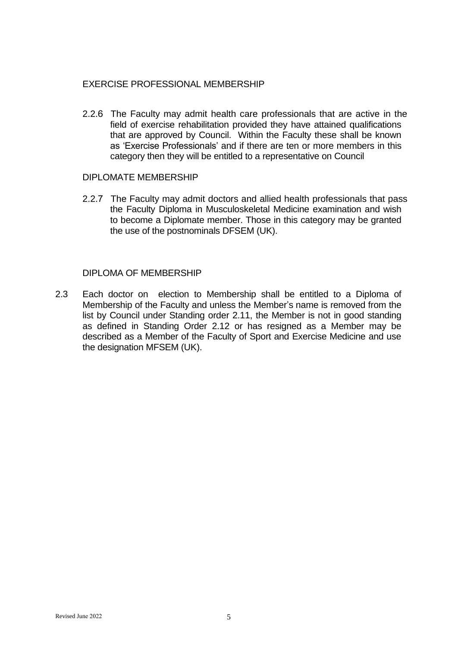## EXERCISE PROFESSIONAL MEMBERSHIP

2.2.6 The Faculty may admit health care professionals that are active in the field of exercise rehabilitation provided they have attained qualifications that are approved by Council. Within the Faculty these shall be known as 'Exercise Professionals' and if there are ten or more members in this category then they will be entitled to a representative on Council

### DIPLOMATE MEMBERSHIP

2.2.7 The Faculty may admit doctors and allied health professionals that pass the Faculty Diploma in Musculoskeletal Medicine examination and wish to become a Diplomate member. Those in this category may be granted the use of the postnominals DFSEM (UK).

### DIPLOMA OF MEMBERSHIP

2.3 Each doctor on election to Membership shall be entitled to a Diploma of Membership of the Faculty and unless the Member's name is removed from the list by Council under Standing order 2.11, the Member is not in good standing as defined in Standing Order 2.12 or has resigned as a Member may be described as a Member of the Faculty of Sport and Exercise Medicine and use the designation MFSEM (UK).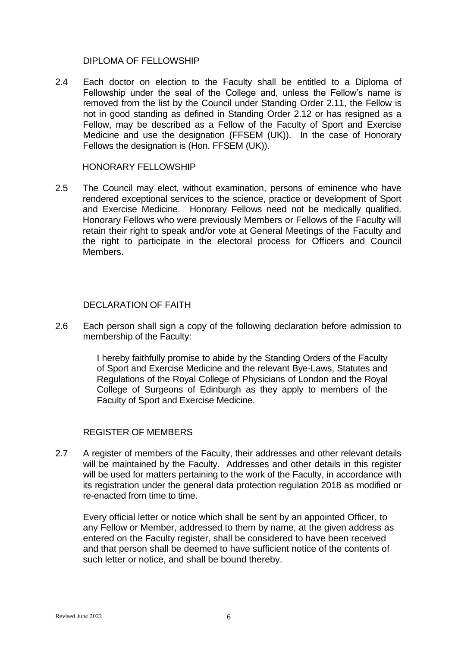### DIPLOMA OF FELLOWSHIP

2.4 Each doctor on election to the Faculty shall be entitled to a Diploma of Fellowship under the seal of the College and, unless the Fellow's name is removed from the list by the Council under Standing Order 2.11, the Fellow is not in good standing as defined in Standing Order 2.12 or has resigned as a Fellow, may be described as a Fellow of the Faculty of Sport and Exercise Medicine and use the designation (FFSEM (UK)). In the case of Honorary Fellows the designation is (Hon. FFSEM (UK)).

### HONORARY FELLOWSHIP

2.5 The Council may elect, without examination, persons of eminence who have rendered exceptional services to the science, practice or development of Sport and Exercise Medicine. Honorary Fellows need not be medically qualified. Honorary Fellows who were previously Members or Fellows of the Faculty will retain their right to speak and/or vote at General Meetings of the Faculty and the right to participate in the electoral process for Officers and Council Members.

## DECLARATION OF FAITH

2.6 Each person shall sign a copy of the following declaration before admission to membership of the Faculty:

> I hereby faithfully promise to abide by the Standing Orders of the Faculty of Sport and Exercise Medicine and the relevant Bye-Laws, Statutes and Regulations of the Royal College of Physicians of London and the Royal College of Surgeons of Edinburgh as they apply to members of the Faculty of Sport and Exercise Medicine.

## REGISTER OF MEMBERS

2.7 A register of members of the Faculty, their addresses and other relevant details will be maintained by the Faculty. Addresses and other details in this register will be used for matters pertaining to the work of the Faculty, in accordance with its registration under the general data protection regulation 2018 as modified or re-enacted from time to time.

Every official letter or notice which shall be sent by an appointed Officer, to any Fellow or Member, addressed to them by name, at the given address as entered on the Faculty register, shall be considered to have been received and that person shall be deemed to have sufficient notice of the contents of such letter or notice, and shall be bound thereby.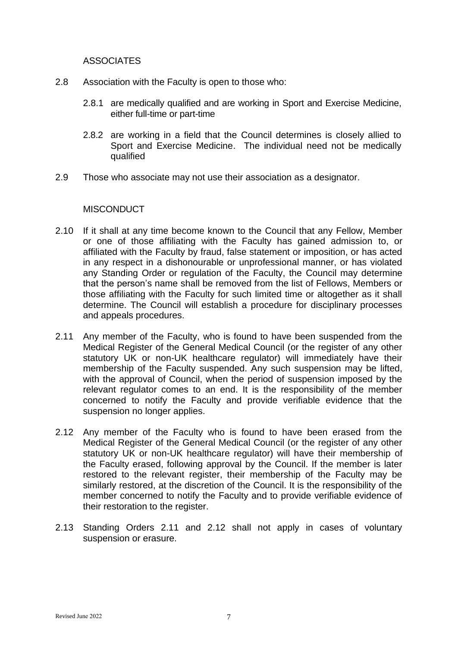ASSOCIATES

- 2.8 Association with the Faculty is open to those who:
	- 2.8.1 are medically qualified and are working in Sport and Exercise Medicine, either full-time or part-time
	- 2.8.2 are working in a field that the Council determines is closely allied to Sport and Exercise Medicine. The individual need not be medically qualified
- 2.9 Those who associate may not use their association as a designator.

## **MISCONDUCT**

- 2.10 If it shall at any time become known to the Council that any Fellow, Member or one of those affiliating with the Faculty has gained admission to, or affiliated with the Faculty by fraud, false statement or imposition, or has acted in any respect in a dishonourable or unprofessional manner, or has violated any Standing Order or regulation of the Faculty, the Council may determine that the person's name shall be removed from the list of Fellows, Members or those affiliating with the Faculty for such limited time or altogether as it shall determine. The Council will establish a procedure for disciplinary processes and appeals procedures.
- 2.11 Any member of the Faculty, who is found to have been suspended from the Medical Register of the General Medical Council (or the register of any other statutory UK or non-UK healthcare regulator) will immediately have their membership of the Faculty suspended. Any such suspension may be lifted, with the approval of Council, when the period of suspension imposed by the relevant regulator comes to an end. It is the responsibility of the member concerned to notify the Faculty and provide verifiable evidence that the suspension no longer applies.
- 2.12 Any member of the Faculty who is found to have been erased from the Medical Register of the General Medical Council (or the register of any other statutory UK or non-UK healthcare regulator) will have their membership of the Faculty erased, following approval by the Council. If the member is later restored to the relevant register, their membership of the Faculty may be similarly restored, at the discretion of the Council. It is the responsibility of the member concerned to notify the Faculty and to provide verifiable evidence of their restoration to the register.
- 2.13 Standing Orders 2.11 and 2.12 shall not apply in cases of voluntary suspension or erasure.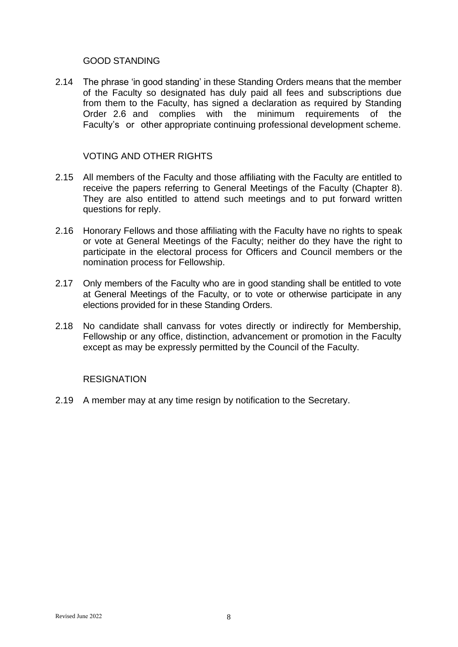## GOOD STANDING

2.14 The phrase 'in good standing' in these Standing Orders means that the member of the Faculty so designated has duly paid all fees and subscriptions due from them to the Faculty, has signed a declaration as required by Standing Order 2.6 and complies with the minimum requirements of the Faculty's or other appropriate continuing professional development scheme.

## VOTING AND OTHER RIGHTS

- 2.15 All members of the Faculty and those affiliating with the Faculty are entitled to receive the papers referring to General Meetings of the Faculty (Chapter 8). They are also entitled to attend such meetings and to put forward written questions for reply.
- 2.16 Honorary Fellows and those affiliating with the Faculty have no rights to speak or vote at General Meetings of the Faculty; neither do they have the right to participate in the electoral process for Officers and Council members or the nomination process for Fellowship.
- 2.17 Only members of the Faculty who are in good standing shall be entitled to vote at General Meetings of the Faculty, or to vote or otherwise participate in any elections provided for in these Standing Orders.
- 2.18 No candidate shall canvass for votes directly or indirectly for Membership, Fellowship or any office, distinction, advancement or promotion in the Faculty except as may be expressly permitted by the Council of the Faculty.

## **RESIGNATION**

2.19 A member may at any time resign by notification to the Secretary.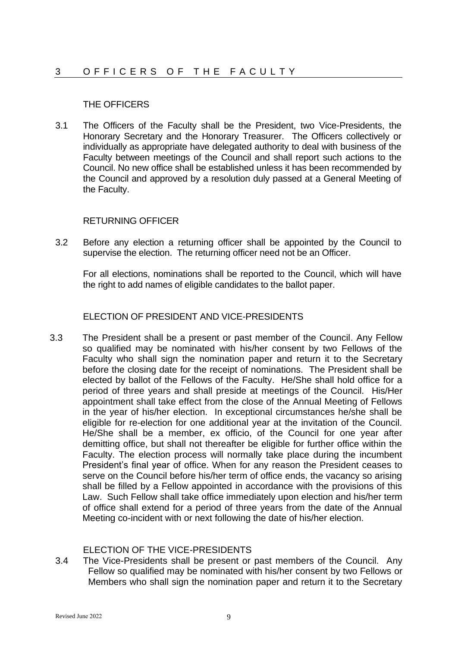## THE OFFICERS

3.1 The Officers of the Faculty shall be the President, two Vice-Presidents, the Honorary Secretary and the Honorary Treasurer. The Officers collectively or individually as appropriate have delegated authority to deal with business of the Faculty between meetings of the Council and shall report such actions to the Council. No new office shall be established unless it has been recommended by the Council and approved by a resolution duly passed at a General Meeting of the Faculty.

## RETURNING OFFICER

3.2 Before any election a returning officer shall be appointed by the Council to supervise the election. The returning officer need not be an Officer.

For all elections, nominations shall be reported to the Council, which will have the right to add names of eligible candidates to the ballot paper.

## ELECTION OF PRESIDENT AND VICE-PRESIDENTS

3.3 The President shall be a present or past member of the Council. Any Fellow so qualified may be nominated with his/her consent by two Fellows of the Faculty who shall sign the nomination paper and return it to the Secretary before the closing date for the receipt of nominations. The President shall be elected by ballot of the Fellows of the Faculty. He/She shall hold office for a period of three years and shall preside at meetings of the Council. His/Her appointment shall take effect from the close of the Annual Meeting of Fellows in the year of his/her election. In exceptional circumstances he/she shall be eligible for re-election for one additional year at the invitation of the Council. He/She shall be a member, ex officio, of the Council for one year after demitting office, but shall not thereafter be eligible for further office within the Faculty. The election process will normally take place during the incumbent President's final year of office. When for any reason the President ceases to serve on the Council before his/her term of office ends, the vacancy so arising shall be filled by a Fellow appointed in accordance with the provisions of this Law. Such Fellow shall take office immediately upon election and his/her term of office shall extend for a period of three years from the date of the Annual Meeting co-incident with or next following the date of his/her election.

## ELECTION OF THE VICE-PRESIDENTS

3.4 The Vice-Presidents shall be present or past members of the Council. Any Fellow so qualified may be nominated with his/her consent by two Fellows or Members who shall sign the nomination paper and return it to the Secretary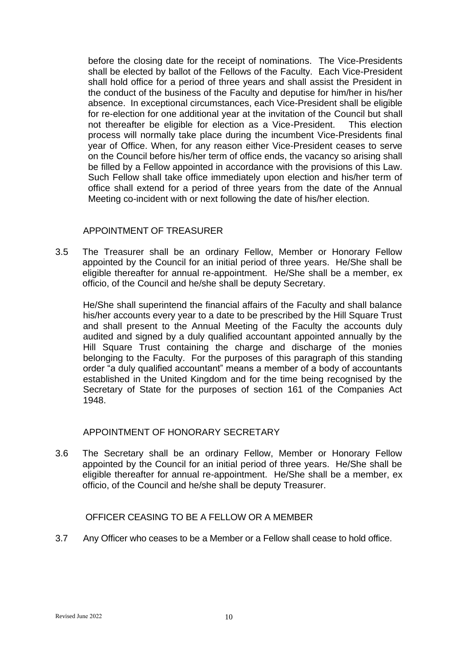before the closing date for the receipt of nominations. The Vice-Presidents shall be elected by ballot of the Fellows of the Faculty. Each Vice-President shall hold office for a period of three years and shall assist the President in the conduct of the business of the Faculty and deputise for him/her in his/her absence. In exceptional circumstances, each Vice-President shall be eligible for re-election for one additional year at the invitation of the Council but shall not thereafter be eligible for election as a Vice-President. This election process will normally take place during the incumbent Vice-Presidents final year of Office. When, for any reason either Vice-President ceases to serve on the Council before his/her term of office ends, the vacancy so arising shall be filled by a Fellow appointed in accordance with the provisions of this Law. Such Fellow shall take office immediately upon election and his/her term of office shall extend for a period of three years from the date of the Annual Meeting co-incident with or next following the date of his/her election.

## APPOINTMENT OF TREASURER

3.5 The Treasurer shall be an ordinary Fellow, Member or Honorary Fellow appointed by the Council for an initial period of three years. He/She shall be eligible thereafter for annual re-appointment. He/She shall be a member, ex officio, of the Council and he/she shall be deputy Secretary.

He/She shall superintend the financial affairs of the Faculty and shall balance his/her accounts every year to a date to be prescribed by the Hill Square Trust and shall present to the Annual Meeting of the Faculty the accounts duly audited and signed by a duly qualified accountant appointed annually by the Hill Square Trust containing the charge and discharge of the monies belonging to the Faculty. For the purposes of this paragraph of this standing order "a duly qualified accountant" means a member of a body of accountants established in the United Kingdom and for the time being recognised by the Secretary of State for the purposes of section 161 of the Companies Act 1948.

### APPOINTMENT OF HONORARY SECRETARY

3.6 The Secretary shall be an ordinary Fellow, Member or Honorary Fellow appointed by the Council for an initial period of three years. He/She shall be eligible thereafter for annual re-appointment. He/She shall be a member, ex officio, of the Council and he/she shall be deputy Treasurer.

## OFFICER CEASING TO BE A FELLOW OR A MEMBER

3.7 Any Officer who ceases to be a Member or a Fellow shall cease to hold office.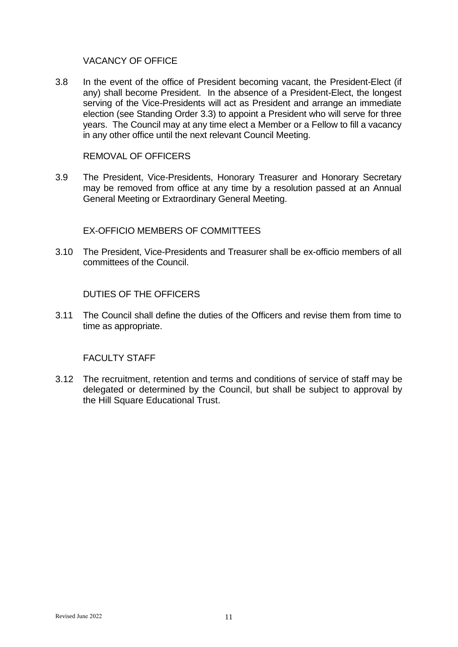## VACANCY OF OFFICE

3.8 In the event of the office of President becoming vacant, the President-Elect (if any) shall become President. In the absence of a President-Elect, the longest serving of the Vice-Presidents will act as President and arrange an immediate election (see Standing Order 3.3) to appoint a President who will serve for three years. The Council may at any time elect a Member or a Fellow to fill a vacancy in any other office until the next relevant Council Meeting.

REMOVAL OF OFFICERS

3.9 The President, Vice-Presidents, Honorary Treasurer and Honorary Secretary may be removed from office at any time by a resolution passed at an Annual General Meeting or Extraordinary General Meeting.

EX-OFFICIO MEMBERS OF COMMITTEES

3.10 The President, Vice-Presidents and Treasurer shall be ex-officio members of all committees of the Council.

### DUTIES OF THE OFFICERS

3.11 The Council shall define the duties of the Officers and revise them from time to time as appropriate.

### FACULTY STAFF

3.12 The recruitment, retention and terms and conditions of service of staff may be delegated or determined by the Council, but shall be subject to approval by the Hill Square Educational Trust.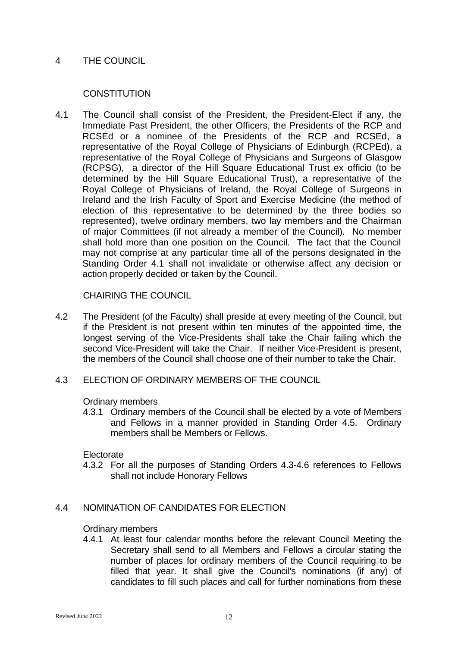## 4 THE COUNCIL

## **CONSTITUTION**

4.1 The Council shall consist of the President, the President-Elect if any, the Immediate Past President, the other Officers, the Presidents of the RCP and RCSEd or a nominee of the Presidents of the RCP and RCSEd, a representative of the Royal College of Physicians of Edinburgh (RCPEd), a representative of the Royal College of Physicians and Surgeons of Glasgow (RCPSG), a director of the Hill Square Educational Trust ex officio (to be determined by the Hill Square Educational Trust), a representative of the Royal College of Physicians of Ireland, the Royal College of Surgeons in Ireland and the Irish Faculty of Sport and Exercise Medicine (the method of election of this representative to be determined by the three bodies so represented), twelve ordinary members, two lay members and the Chairman of major Committees (if not already a member of the Council). No member shall hold more than one position on the Council. The fact that the Council may not comprise at any particular time all of the persons designated in the Standing Order 4.1 shall not invalidate or otherwise affect any decision or action properly decided or taken by the Council.

CHAIRING THE COUNCIL

4.2 The President (of the Faculty) shall preside at every meeting of the Council, but if the President is not present within ten minutes of the appointed time, the longest serving of the Vice-Presidents shall take the Chair failing which the second Vice-President will take the Chair. If neither Vice-President is present, the members of the Council shall choose one of their number to take the Chair.

### 4.3 ELECTION OF ORDINARY MEMBERS OF THE COUNCIL

Ordinary members

4.3.1 Ordinary members of the Council shall be elected by a vote of Members and Fellows in a manner provided in Standing Order 4.5. Ordinary members shall be Members or Fellows.

**Electorate** 

4.3.2 For all the purposes of Standing Orders 4.3-4.6 references to Fellows shall not include Honorary Fellows

## 4.4 NOMINATION OF CANDIDATES FOR ELECTION

### Ordinary members

4.4.1 At least four calendar months before the relevant Council Meeting the Secretary shall send to all Members and Fellows a circular stating the number of places for ordinary members of the Council requiring to be filled that year. It shall give the Council's nominations (if any) of candidates to fill such places and call for further nominations from these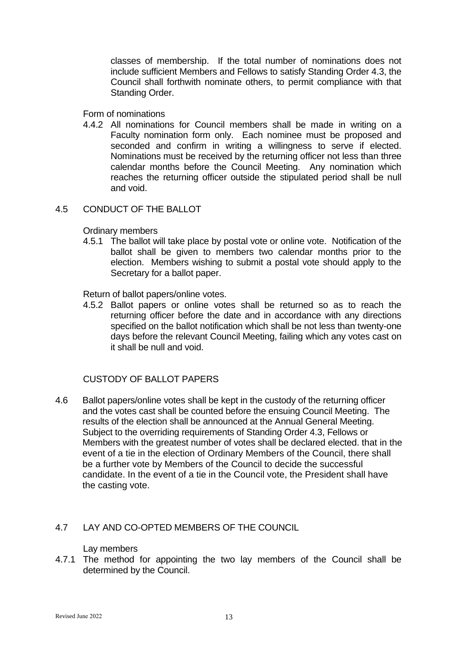classes of membership. If the total number of nominations does not include sufficient Members and Fellows to satisfy Standing Order 4.3, the Council shall forthwith nominate others, to permit compliance with that Standing Order.

Form of nominations

4.4.2 All nominations for Council members shall be made in writing on a Faculty nomination form only. Each nominee must be proposed and seconded and confirm in writing a willingness to serve if elected. Nominations must be received by the returning officer not less than three calendar months before the Council Meeting. Any nomination which reaches the returning officer outside the stipulated period shall be null and void.

## 4.5 CONDUCT OF THE BALLOT

### Ordinary members

4.5.1 The ballot will take place by postal vote or online vote. Notification of the ballot shall be given to members two calendar months prior to the election. Members wishing to submit a postal vote should apply to the Secretary for a ballot paper.

Return of ballot papers/online votes.

4.5.2 Ballot papers or online votes shall be returned so as to reach the returning officer before the date and in accordance with any directions specified on the ballot notification which shall be not less than twenty-one days before the relevant Council Meeting, failing which any votes cast on it shall be null and void.

## CUSTODY OF BALLOT PAPERS

4.6 Ballot papers/online votes shall be kept in the custody of the returning officer and the votes cast shall be counted before the ensuing Council Meeting. The results of the election shall be announced at the Annual General Meeting. Subject to the overriding requirements of Standing Order 4.3, Fellows or Members with the greatest number of votes shall be declared elected. that in the event of a tie in the election of Ordinary Members of the Council, there shall be a further vote by Members of the Council to decide the successful candidate. In the event of a tie in the Council vote, the President shall have the casting vote.

## 4.7 LAY AND CO-OPTED MEMBERS OF THE COUNCIL

Lay members

4.7.1 The method for appointing the two lay members of the Council shall be determined by the Council.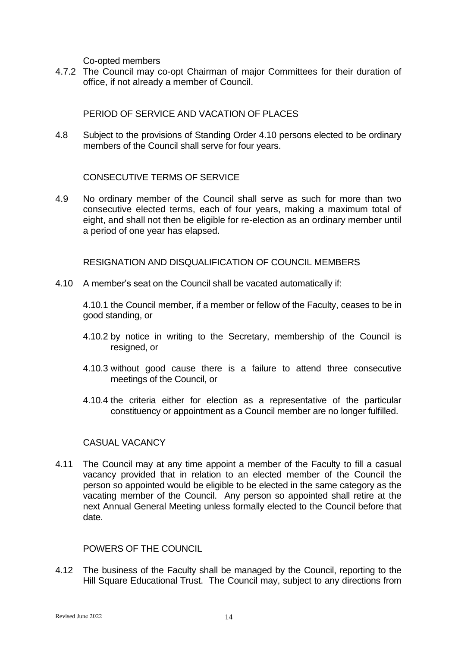Co-opted members

4.7.2 The Council may co-opt Chairman of major Committees for their duration of office, if not already a member of Council.

## PERIOD OF SERVICE AND VACATION OF PLACES

4.8 Subject to the provisions of Standing Order 4.10 persons elected to be ordinary members of the Council shall serve for four years.

## CONSECUTIVE TERMS OF SERVICE

4.9 No ordinary member of the Council shall serve as such for more than two consecutive elected terms, each of four years, making a maximum total of eight, and shall not then be eligible for re-election as an ordinary member until a period of one year has elapsed.

RESIGNATION AND DISQUALIFICATION OF COUNCIL MEMBERS

4.10 A member's seat on the Council shall be vacated automatically if:

4.10.1 the Council member, if a member or fellow of the Faculty, ceases to be in good standing, or

- 4.10.2 by notice in writing to the Secretary, membership of the Council is resigned, or
- 4.10.3 without good cause there is a failure to attend three consecutive meetings of the Council, or
- 4.10.4 the criteria either for election as a representative of the particular constituency or appointment as a Council member are no longer fulfilled.

## CASUAL VACANCY

4.11 The Council may at any time appoint a member of the Faculty to fill a casual vacancy provided that in relation to an elected member of the Council the person so appointed would be eligible to be elected in the same category as the vacating member of the Council. Any person so appointed shall retire at the next Annual General Meeting unless formally elected to the Council before that date.

## POWERS OF THE COUNCIL

4.12 The business of the Faculty shall be managed by the Council, reporting to the Hill Square Educational Trust. The Council may, subject to any directions from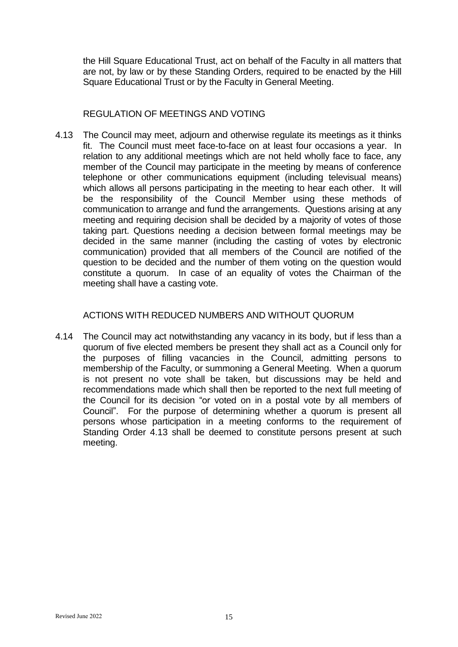the Hill Square Educational Trust, act on behalf of the Faculty in all matters that are not, by law or by these Standing Orders, required to be enacted by the Hill Square Educational Trust or by the Faculty in General Meeting.

## REGULATION OF MEETINGS AND VOTING

4.13 The Council may meet, adjourn and otherwise regulate its meetings as it thinks fit. The Council must meet face-to-face on at least four occasions a year. In relation to any additional meetings which are not held wholly face to face, any member of the Council may participate in the meeting by means of conference telephone or other communications equipment (including televisual means) which allows all persons participating in the meeting to hear each other. It will be the responsibility of the Council Member using these methods of communication to arrange and fund the arrangements. Questions arising at any meeting and requiring decision shall be decided by a majority of votes of those taking part. Questions needing a decision between formal meetings may be decided in the same manner (including the casting of votes by electronic communication) provided that all members of the Council are notified of the question to be decided and the number of them voting on the question would constitute a quorum. In case of an equality of votes the Chairman of the meeting shall have a casting vote.

## ACTIONS WITH REDUCED NUMBERS AND WITHOUT QUORUM

4.14 The Council may act notwithstanding any vacancy in its body, but if less than a quorum of five elected members be present they shall act as a Council only for the purposes of filling vacancies in the Council, admitting persons to membership of the Faculty, or summoning a General Meeting. When a quorum is not present no vote shall be taken, but discussions may be held and recommendations made which shall then be reported to the next full meeting of the Council for its decision "or voted on in a postal vote by all members of Council". For the purpose of determining whether a quorum is present all persons whose participation in a meeting conforms to the requirement of Standing Order 4.13 shall be deemed to constitute persons present at such meeting.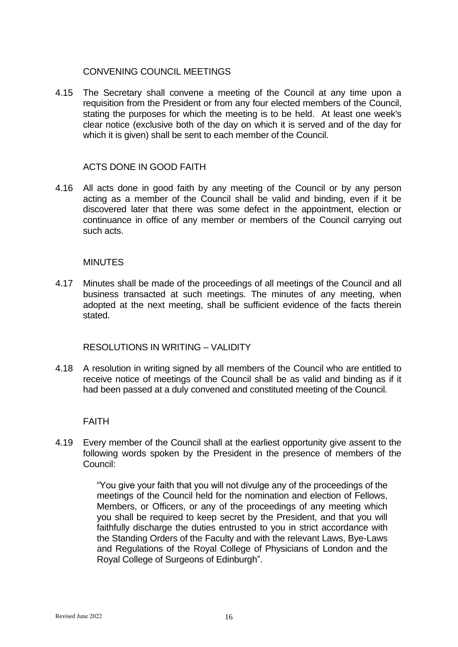## CONVENING COUNCIL MEETINGS

4.15 The Secretary shall convene a meeting of the Council at any time upon a requisition from the President or from any four elected members of the Council, stating the purposes for which the meeting is to be held. At least one week's clear notice (exclusive both of the day on which it is served and of the day for which it is given) shall be sent to each member of the Council.

## ACTS DONE IN GOOD FAITH

4.16 All acts done in good faith by any meeting of the Council or by any person acting as a member of the Council shall be valid and binding, even if it be discovered later that there was some defect in the appointment, election or continuance in office of any member or members of the Council carrying out such acts.

### **MINUTES**

4.17 Minutes shall be made of the proceedings of all meetings of the Council and all business transacted at such meetings. The minutes of any meeting, when adopted at the next meeting, shall be sufficient evidence of the facts therein stated.

RESOLUTIONS IN WRITING – VALIDITY

4.18 A resolution in writing signed by all members of the Council who are entitled to receive notice of meetings of the Council shall be as valid and binding as if it had been passed at a duly convened and constituted meeting of the Council.

## FAITH

4.19 Every member of the Council shall at the earliest opportunity give assent to the following words spoken by the President in the presence of members of the Council:

> "You give your faith that you will not divulge any of the proceedings of the meetings of the Council held for the nomination and election of Fellows, Members, or Officers, or any of the proceedings of any meeting which you shall be required to keep secret by the President, and that you will faithfully discharge the duties entrusted to you in strict accordance with the Standing Orders of the Faculty and with the relevant Laws, Bye-Laws and Regulations of the Royal College of Physicians of London and the Royal College of Surgeons of Edinburgh".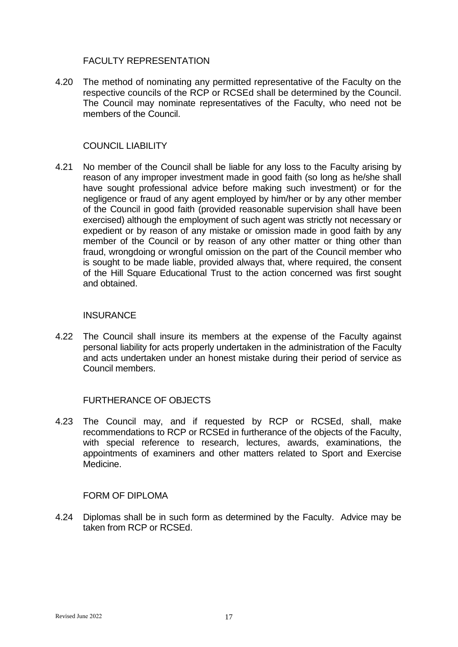## FACULTY REPRESENTATION

4.20 The method of nominating any permitted representative of the Faculty on the respective councils of the RCP or RCSEd shall be determined by the Council. The Council may nominate representatives of the Faculty, who need not be members of the Council.

## COUNCIL LIABILITY

4.21 No member of the Council shall be liable for any loss to the Faculty arising by reason of any improper investment made in good faith (so long as he/she shall have sought professional advice before making such investment) or for the negligence or fraud of any agent employed by him/her or by any other member of the Council in good faith (provided reasonable supervision shall have been exercised) although the employment of such agent was strictly not necessary or expedient or by reason of any mistake or omission made in good faith by any member of the Council or by reason of any other matter or thing other than fraud, wrongdoing or wrongful omission on the part of the Council member who is sought to be made liable, provided always that, where required, the consent of the Hill Square Educational Trust to the action concerned was first sought and obtained.

## **INSURANCE**

4.22 The Council shall insure its members at the expense of the Faculty against personal liability for acts properly undertaken in the administration of the Faculty and acts undertaken under an honest mistake during their period of service as Council members.

## FURTHERANCE OF OBJECTS

4.23 The Council may, and if requested by RCP or RCSEd, shall, make recommendations to RCP or RCSEd in furtherance of the objects of the Faculty, with special reference to research, lectures, awards, examinations, the appointments of examiners and other matters related to Sport and Exercise Medicine.

## FORM OF DIPLOMA

4.24 Diplomas shall be in such form as determined by the Faculty. Advice may be taken from RCP or RCSEd.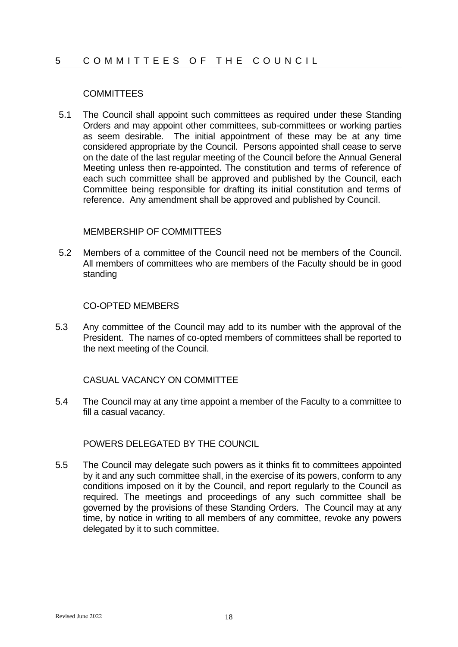## 5 COMMITTEES OF THE COUNCIL

## **COMMITTEES**

5.1 The Council shall appoint such committees as required under these Standing Orders and may appoint other committees, sub-committees or working parties as seem desirable. The initial appointment of these may be at any time considered appropriate by the Council. Persons appointed shall cease to serve on the date of the last regular meeting of the Council before the Annual General Meeting unless then re-appointed. The constitution and terms of reference of each such committee shall be approved and published by the Council, each Committee being responsible for drafting its initial constitution and terms of reference. Any amendment shall be approved and published by Council.

### MEMBERSHIP OF COMMITTEES

5.2 Members of a committee of the Council need not be members of the Council. All members of committees who are members of the Faculty should be in good standing

### CO-OPTED MEMBERS

5.3 Any committee of the Council may add to its number with the approval of the President. The names of co-opted members of committees shall be reported to the next meeting of the Council.

## CASUAL VACANCY ON COMMITTEE

5.4 The Council may at any time appoint a member of the Faculty to a committee to fill a casual vacancy.

## POWERS DELEGATED BY THE COUNCIL

5.5 The Council may delegate such powers as it thinks fit to committees appointed by it and any such committee shall, in the exercise of its powers, conform to any conditions imposed on it by the Council, and report regularly to the Council as required. The meetings and proceedings of any such committee shall be governed by the provisions of these Standing Orders. The Council may at any time, by notice in writing to all members of any committee, revoke any powers delegated by it to such committee.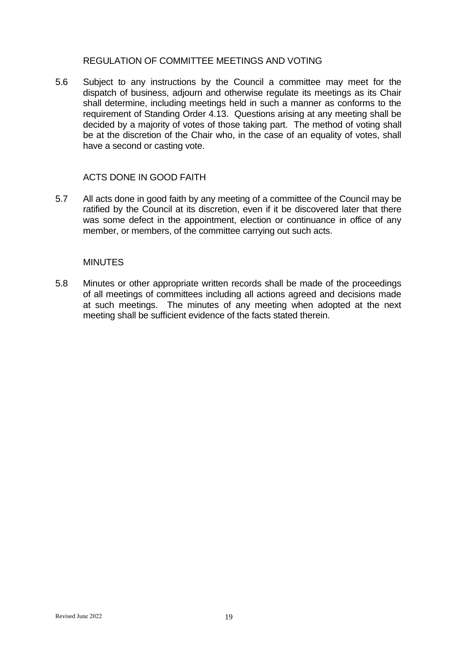## REGULATION OF COMMITTEE MEETINGS AND VOTING

5.6 Subject to any instructions by the Council a committee may meet for the dispatch of business, adjourn and otherwise regulate its meetings as its Chair shall determine, including meetings held in such a manner as conforms to the requirement of Standing Order 4.13. Questions arising at any meeting shall be decided by a majority of votes of those taking part. The method of voting shall be at the discretion of the Chair who, in the case of an equality of votes, shall have a second or casting vote.

## ACTS DONE IN GOOD FAITH

5.7 All acts done in good faith by any meeting of a committee of the Council may be ratified by the Council at its discretion, even if it be discovered later that there was some defect in the appointment, election or continuance in office of any member, or members, of the committee carrying out such acts.

### **MINUTES**

5.8 Minutes or other appropriate written records shall be made of the proceedings of all meetings of committees including all actions agreed and decisions made at such meetings. The minutes of any meeting when adopted at the next meeting shall be sufficient evidence of the facts stated therein.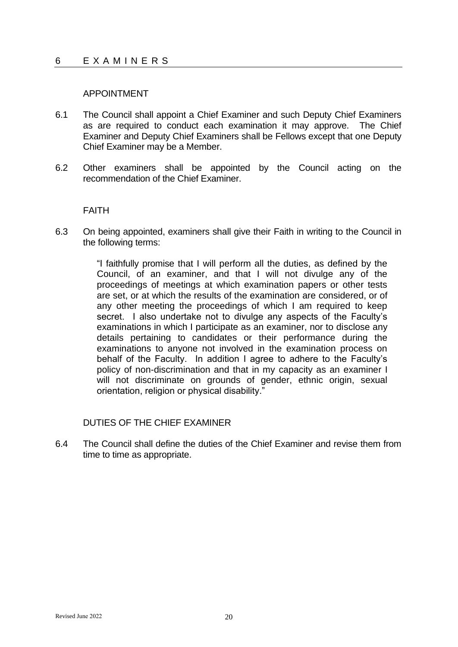### APPOINTMENT

- 6.1 The Council shall appoint a Chief Examiner and such Deputy Chief Examiners as are required to conduct each examination it may approve. The Chief Examiner and Deputy Chief Examiners shall be Fellows except that one Deputy Chief Examiner may be a Member.
- 6.2 Other examiners shall be appointed by the Council acting on the recommendation of the Chief Examiner.

### FAITH

6.3 On being appointed, examiners shall give their Faith in writing to the Council in the following terms:

> "I faithfully promise that I will perform all the duties, as defined by the Council, of an examiner, and that I will not divulge any of the proceedings of meetings at which examination papers or other tests are set, or at which the results of the examination are considered, or of any other meeting the proceedings of which I am required to keep secret. I also undertake not to divulge any aspects of the Faculty's examinations in which I participate as an examiner, nor to disclose any details pertaining to candidates or their performance during the examinations to anyone not involved in the examination process on behalf of the Faculty. In addition I agree to adhere to the Faculty's policy of non-discrimination and that in my capacity as an examiner I will not discriminate on grounds of gender, ethnic origin, sexual orientation, religion or physical disability."

## DUTIES OF THE CHIEF EXAMINER

6.4 The Council shall define the duties of the Chief Examiner and revise them from time to time as appropriate.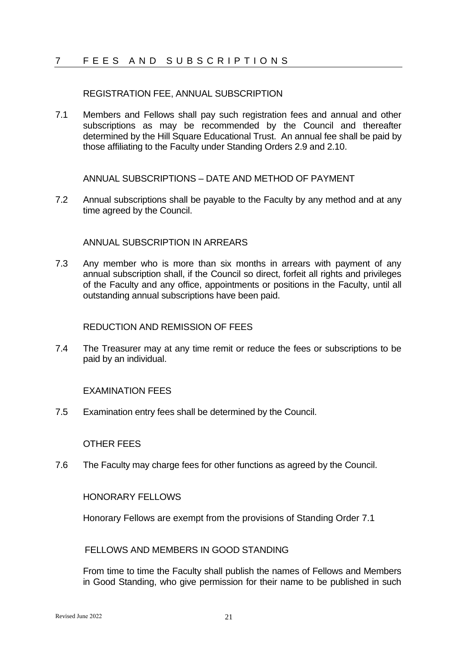## 7 FEES AND SUBSCRIPTIONS

### REGISTRATION FEE, ANNUAL SUBSCRIPTION

7.1 Members and Fellows shall pay such registration fees and annual and other subscriptions as may be recommended by the Council and thereafter determined by the Hill Square Educational Trust. An annual fee shall be paid by those affiliating to the Faculty under Standing Orders 2.9 and 2.10.

ANNUAL SUBSCRIPTIONS – DATE AND METHOD OF PAYMENT

7.2 Annual subscriptions shall be payable to the Faculty by any method and at any time agreed by the Council.

### ANNUAL SUBSCRIPTION IN ARREARS

7.3 Any member who is more than six months in arrears with payment of any annual subscription shall, if the Council so direct, forfeit all rights and privileges of the Faculty and any office, appointments or positions in the Faculty, until all outstanding annual subscriptions have been paid.

## REDUCTION AND REMISSION OF FEES

7.4 The Treasurer may at any time remit or reduce the fees or subscriptions to be paid by an individual.

### EXAMINATION FEES

7.5 Examination entry fees shall be determined by the Council.

### OTHER FEES

7.6 The Faculty may charge fees for other functions as agreed by the Council.

### HONORARY FELLOWS

Honorary Fellows are exempt from the provisions of Standing Order 7.1

### FELLOWS AND MEMBERS IN GOOD STANDING

From time to time the Faculty shall publish the names of Fellows and Members in Good Standing, who give permission for their name to be published in such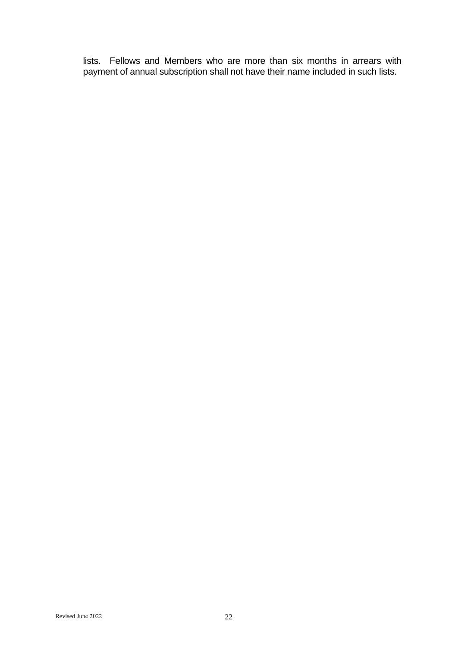lists. Fellows and Members who are more than six months in arrears with payment of annual subscription shall not have their name included in such lists.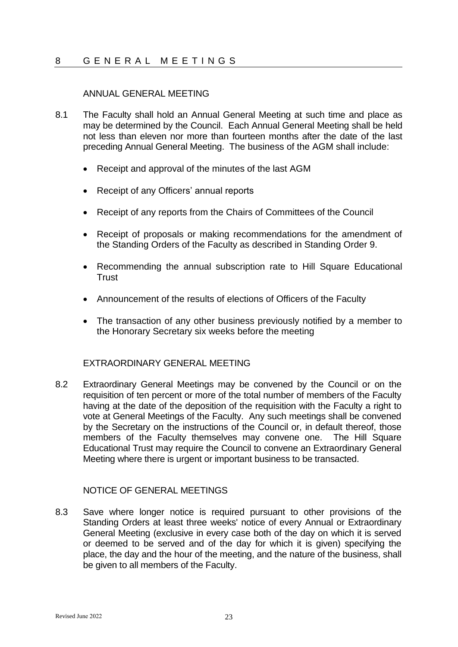## 8 GENERAL MEETINGS

## ANNUAL GENERAL MEETING

- 8.1 The Faculty shall hold an Annual General Meeting at such time and place as may be determined by the Council. Each Annual General Meeting shall be held not less than eleven nor more than fourteen months after the date of the last preceding Annual General Meeting. The business of the AGM shall include:
	- Receipt and approval of the minutes of the last AGM
	- Receipt of any Officers' annual reports
	- Receipt of any reports from the Chairs of Committees of the Council
	- Receipt of proposals or making recommendations for the amendment of the Standing Orders of the Faculty as described in Standing Order 9.
	- Recommending the annual subscription rate to Hill Square Educational **Trust**
	- Announcement of the results of elections of Officers of the Faculty
	- The transaction of any other business previously notified by a member to the Honorary Secretary six weeks before the meeting

### EXTRAORDINARY GENERAL MEETING

8.2 Extraordinary General Meetings may be convened by the Council or on the requisition of ten percent or more of the total number of members of the Faculty having at the date of the deposition of the requisition with the Faculty a right to vote at General Meetings of the Faculty. Any such meetings shall be convened by the Secretary on the instructions of the Council or, in default thereof, those members of the Faculty themselves may convene one. The Hill Square Educational Trust may require the Council to convene an Extraordinary General Meeting where there is urgent or important business to be transacted.

### NOTICE OF GENERAL MEETINGS

8.3 Save where longer notice is required pursuant to other provisions of the Standing Orders at least three weeks' notice of every Annual or Extraordinary General Meeting (exclusive in every case both of the day on which it is served or deemed to be served and of the day for which it is given) specifying the place, the day and the hour of the meeting, and the nature of the business, shall be given to all members of the Faculty.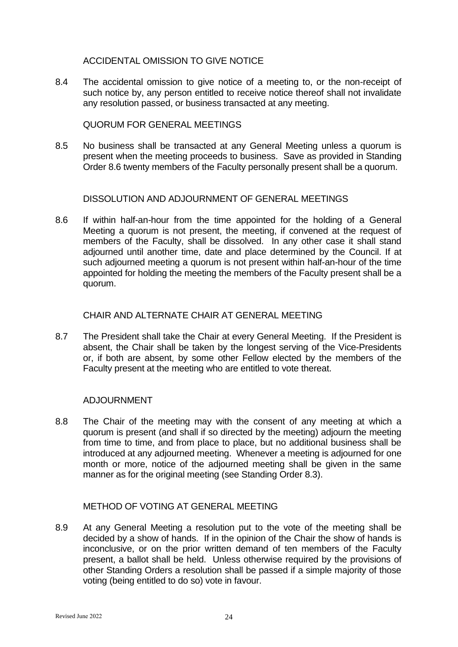ACCIDENTAL OMISSION TO GIVE NOTICE

8.4 The accidental omission to give notice of a meeting to, or the non-receipt of such notice by, any person entitled to receive notice thereof shall not invalidate any resolution passed, or business transacted at any meeting.

QUORUM FOR GENERAL MEETINGS

8.5 No business shall be transacted at any General Meeting unless a quorum is present when the meeting proceeds to business. Save as provided in Standing Order 8.6 twenty members of the Faculty personally present shall be a quorum.

## DISSOLUTION AND ADJOURNMENT OF GENERAL MEETINGS

8.6 If within half-an-hour from the time appointed for the holding of a General Meeting a quorum is not present, the meeting, if convened at the request of members of the Faculty, shall be dissolved. In any other case it shall stand adjourned until another time, date and place determined by the Council. If at such adjourned meeting a quorum is not present within half-an-hour of the time appointed for holding the meeting the members of the Faculty present shall be a quorum.

## CHAIR AND ALTERNATE CHAIR AT GENERAL MEETING

8.7 The President shall take the Chair at every General Meeting. If the President is absent, the Chair shall be taken by the longest serving of the Vice-Presidents or, if both are absent, by some other Fellow elected by the members of the Faculty present at the meeting who are entitled to vote thereat.

## ADJOURNMENT

8.8 The Chair of the meeting may with the consent of any meeting at which a quorum is present (and shall if so directed by the meeting) adjourn the meeting from time to time, and from place to place, but no additional business shall be introduced at any adjourned meeting. Whenever a meeting is adjourned for one month or more, notice of the adjourned meeting shall be given in the same manner as for the original meeting (see Standing Order 8.3).

## METHOD OF VOTING AT GENERAL MEETING

8.9 At any General Meeting a resolution put to the vote of the meeting shall be decided by a show of hands. If in the opinion of the Chair the show of hands is inconclusive, or on the prior written demand of ten members of the Faculty present, a ballot shall be held. Unless otherwise required by the provisions of other Standing Orders a resolution shall be passed if a simple majority of those voting (being entitled to do so) vote in favour.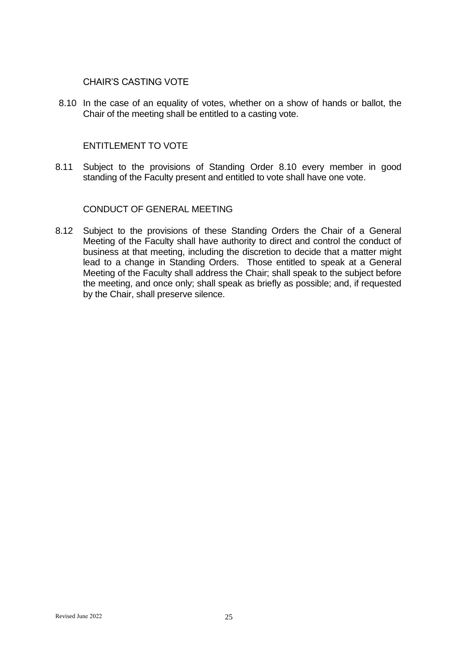### CHAIR'S CASTING VOTE

8.10 In the case of an equality of votes, whether on a show of hands or ballot, the Chair of the meeting shall be entitled to a casting vote.

### ENTITLEMENT TO VOTE

8.11 Subject to the provisions of Standing Order 8.10 every member in good standing of the Faculty present and entitled to vote shall have one vote.

### CONDUCT OF GENERAL MEETING

8.12 Subject to the provisions of these Standing Orders the Chair of a General Meeting of the Faculty shall have authority to direct and control the conduct of business at that meeting, including the discretion to decide that a matter might lead to a change in Standing Orders. Those entitled to speak at a General Meeting of the Faculty shall address the Chair; shall speak to the subject before the meeting, and once only; shall speak as briefly as possible; and, if requested by the Chair, shall preserve silence.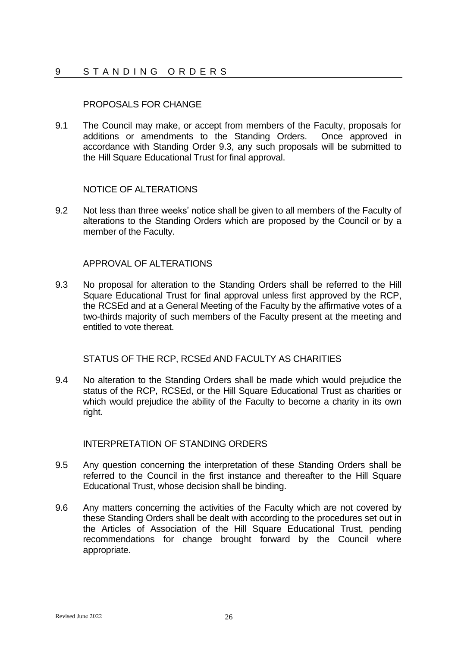## 9 STANDING ORDERS

## PROPOSALS FOR CHANGE

9.1 The Council may make, or accept from members of the Faculty, proposals for additions or amendments to the Standing Orders. Once approved in accordance with Standing Order 9.3, any such proposals will be submitted to the Hill Square Educational Trust for final approval.

## NOTICE OF ALTERATIONS

9.2 Not less than three weeks' notice shall be given to all members of the Faculty of alterations to the Standing Orders which are proposed by the Council or by a member of the Faculty.

## APPROVAL OF ALTERATIONS

9.3 No proposal for alteration to the Standing Orders shall be referred to the Hill Square Educational Trust for final approval unless first approved by the RCP, the RCSEd and at a General Meeting of the Faculty by the affirmative votes of a two-thirds majority of such members of the Faculty present at the meeting and entitled to vote thereat.

### STATUS OF THE RCP, RCSEd AND FACULTY AS CHARITIES

9.4 No alteration to the Standing Orders shall be made which would prejudice the status of the RCP, RCSEd, or the Hill Square Educational Trust as charities or which would prejudice the ability of the Faculty to become a charity in its own right.

## INTERPRETATION OF STANDING ORDERS

- 9.5 Any question concerning the interpretation of these Standing Orders shall be referred to the Council in the first instance and thereafter to the Hill Square Educational Trust, whose decision shall be binding.
- 9.6 Any matters concerning the activities of the Faculty which are not covered by these Standing Orders shall be dealt with according to the procedures set out in the Articles of Association of the Hill Square Educational Trust, pending recommendations for change brought forward by the Council where appropriate.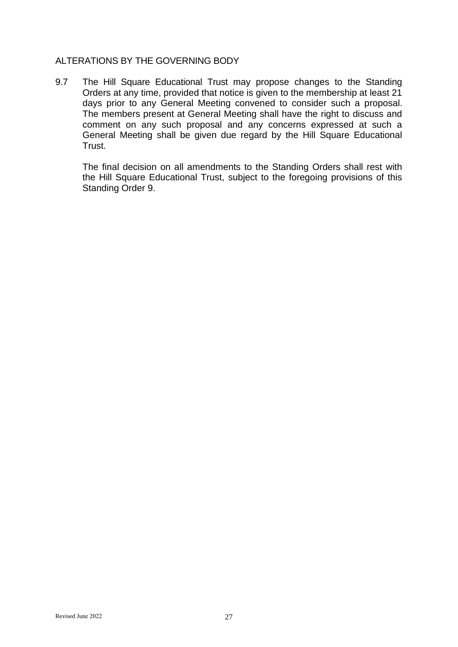## ALTERATIONS BY THE GOVERNING BODY

9.7 The Hill Square Educational Trust may propose changes to the Standing Orders at any time, provided that notice is given to the membership at least 21 days prior to any General Meeting convened to consider such a proposal. The members present at General Meeting shall have the right to discuss and comment on any such proposal and any concerns expressed at such a General Meeting shall be given due regard by the Hill Square Educational Trust.

The final decision on all amendments to the Standing Orders shall rest with the Hill Square Educational Trust, subject to the foregoing provisions of this Standing Order 9.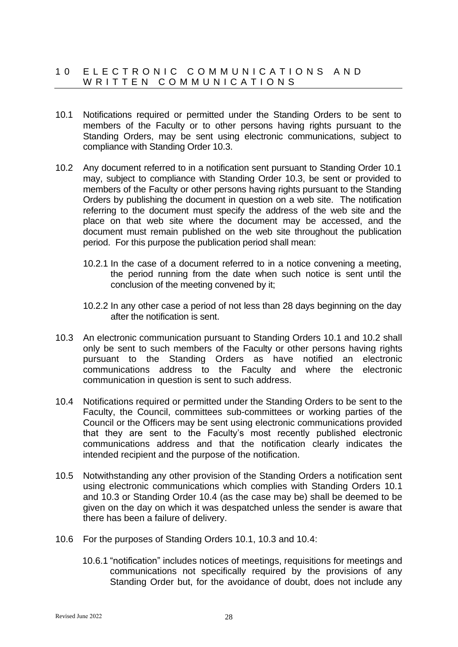## 10 E L E C T R O N I C C O M M U N I C A T I O N S A N D W R I T T E N C O M M U N I C A T I O N S

- 10.1 Notifications required or permitted under the Standing Orders to be sent to members of the Faculty or to other persons having rights pursuant to the Standing Orders, may be sent using electronic communications, subject to compliance with Standing Order 10.3.
- 10.2 Any document referred to in a notification sent pursuant to Standing Order 10.1 may, subject to compliance with Standing Order 10.3, be sent or provided to members of the Faculty or other persons having rights pursuant to the Standing Orders by publishing the document in question on a web site. The notification referring to the document must specify the address of the web site and the place on that web site where the document may be accessed, and the document must remain published on the web site throughout the publication period. For this purpose the publication period shall mean:
	- 10.2.1 In the case of a document referred to in a notice convening a meeting, the period running from the date when such notice is sent until the conclusion of the meeting convened by it;
	- 10.2.2 In any other case a period of not less than 28 days beginning on the day after the notification is sent.
- 10.3 An electronic communication pursuant to Standing Orders 10.1 and 10.2 shall only be sent to such members of the Faculty or other persons having rights pursuant to the Standing Orders as have notified an electronic communications address to the Faculty and where the electronic communication in question is sent to such address.
- 10.4 Notifications required or permitted under the Standing Orders to be sent to the Faculty, the Council, committees sub-committees or working parties of the Council or the Officers may be sent using electronic communications provided that they are sent to the Faculty's most recently published electronic communications address and that the notification clearly indicates the intended recipient and the purpose of the notification.
- 10.5 Notwithstanding any other provision of the Standing Orders a notification sent using electronic communications which complies with Standing Orders 10.1 and 10.3 or Standing Order 10.4 (as the case may be) shall be deemed to be given on the day on which it was despatched unless the sender is aware that there has been a failure of delivery.
- 10.6 For the purposes of Standing Orders 10.1, 10.3 and 10.4:
	- 10.6.1 "notification" includes notices of meetings, requisitions for meetings and communications not specifically required by the provisions of any Standing Order but, for the avoidance of doubt, does not include any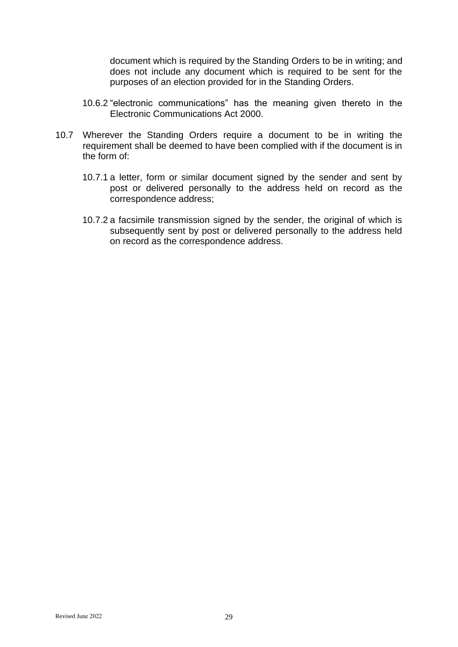document which is required by the Standing Orders to be in writing; and does not include any document which is required to be sent for the purposes of an election provided for in the Standing Orders.

- 10.6.2 "electronic communications" has the meaning given thereto in the Electronic Communications Act 2000.
- 10.7 Wherever the Standing Orders require a document to be in writing the requirement shall be deemed to have been complied with if the document is in the form of:
	- 10.7.1 a letter, form or similar document signed by the sender and sent by post or delivered personally to the address held on record as the correspondence address;
	- 10.7.2 a facsimile transmission signed by the sender, the original of which is subsequently sent by post or delivered personally to the address held on record as the correspondence address.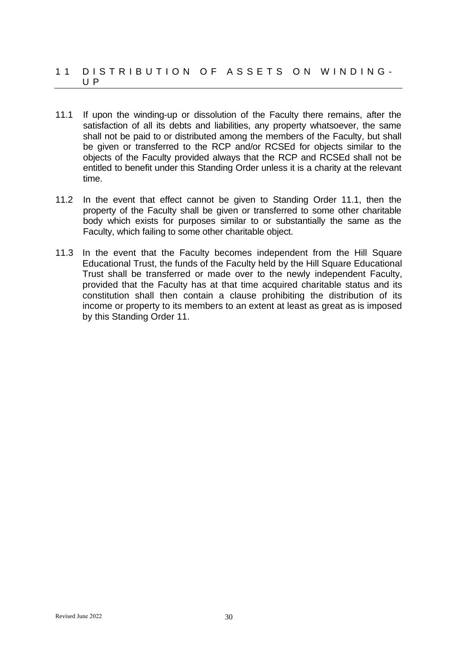### 11 DISTRIBUTION OF ASSETS ON WINDING-U P

- 11.1 If upon the winding-up or dissolution of the Faculty there remains, after the satisfaction of all its debts and liabilities, any property whatsoever, the same shall not be paid to or distributed among the members of the Faculty, but shall be given or transferred to the RCP and/or RCSEd for objects similar to the objects of the Faculty provided always that the RCP and RCSEd shall not be entitled to benefit under this Standing Order unless it is a charity at the relevant time.
- 11.2 In the event that effect cannot be given to Standing Order 11.1, then the property of the Faculty shall be given or transferred to some other charitable body which exists for purposes similar to or substantially the same as the Faculty, which failing to some other charitable object.
- 11.3 In the event that the Faculty becomes independent from the Hill Square Educational Trust, the funds of the Faculty held by the Hill Square Educational Trust shall be transferred or made over to the newly independent Faculty, provided that the Faculty has at that time acquired charitable status and its constitution shall then contain a clause prohibiting the distribution of its income or property to its members to an extent at least as great as is imposed by this Standing Order 11.